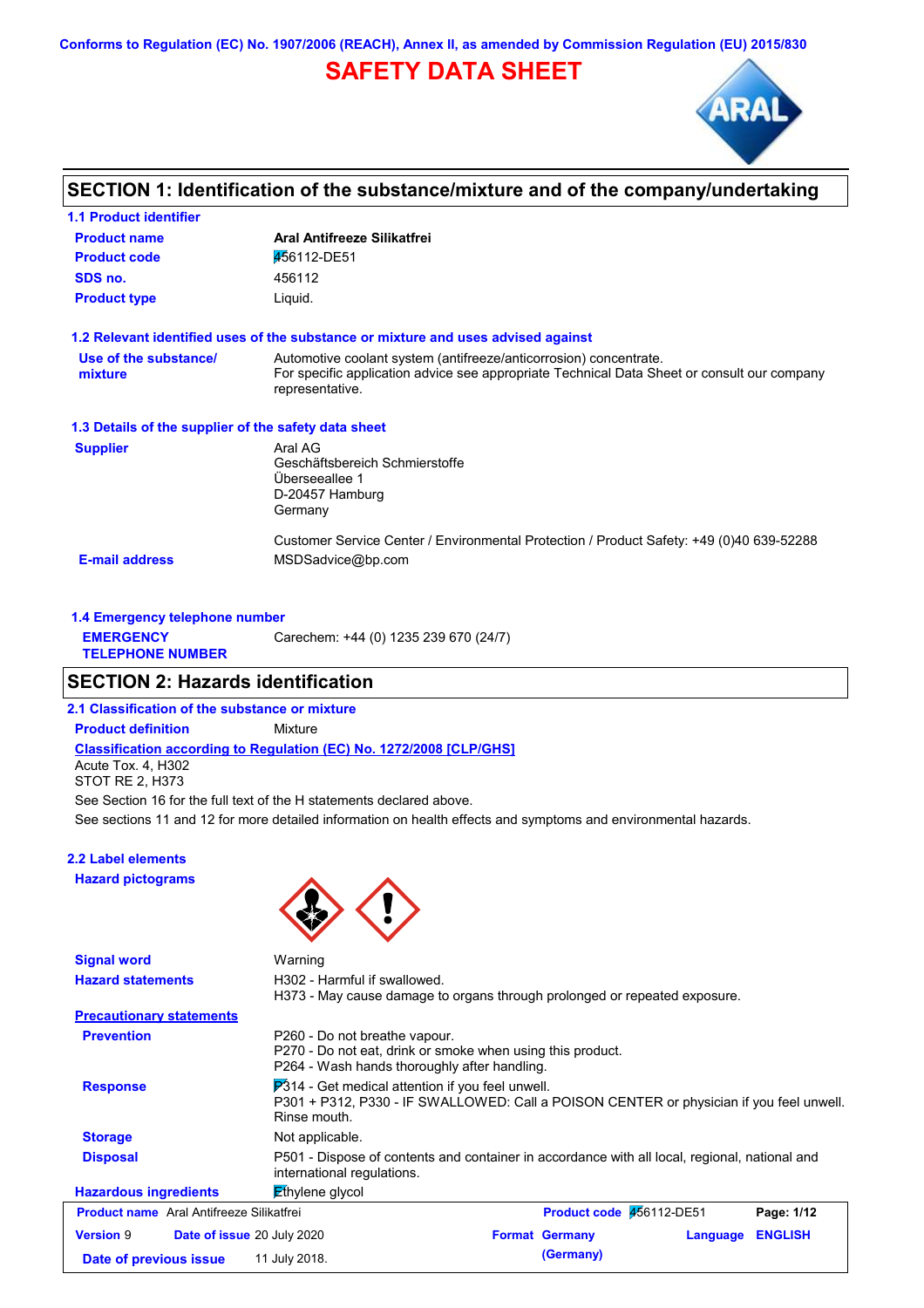**Conforms to Regulation (EC) No. 1907/2006 (REACH), Annex II, as amended by Commission Regulation (EU) 2015/830**

# **SAFETY DATA SHEET**



### **SECTION 1: Identification of the substance/mixture and of the company/undertaking**

| <b>1.1 Product identifier</b>                        |                                                                                                                                                                                     |
|------------------------------------------------------|-------------------------------------------------------------------------------------------------------------------------------------------------------------------------------------|
| <b>Product name</b>                                  | Aral Antifreeze Silikatfrei                                                                                                                                                         |
| <b>Product code</b>                                  | 456112-DE51                                                                                                                                                                         |
| SDS no.                                              | 456112                                                                                                                                                                              |
| <b>Product type</b>                                  | Liquid.                                                                                                                                                                             |
|                                                      | 1.2 Relevant identified uses of the substance or mixture and uses advised against                                                                                                   |
| Use of the substance/<br>mixture                     | Automotive coolant system (antifreeze/anticorrosion) concentrate.<br>For specific application advice see appropriate Technical Data Sheet or consult our company<br>representative. |
| 1.3 Details of the supplier of the safety data sheet |                                                                                                                                                                                     |
| <b>Supplier</b>                                      | Aral AG<br>Geschäftsbereich Schmierstoffe<br>Überseeallee 1<br>D-20457 Hamburg<br>Germany                                                                                           |
| <b>E-mail address</b>                                | Customer Service Center / Environmental Protection / Product Safety: +49 (0)40 639-52288<br>MSDSadvice@bp.com                                                                       |

| 1.4 Emergency telephone number              |                                       |
|---------------------------------------------|---------------------------------------|
| <b>EMERGENCY</b><br><b>TELEPHONE NUMBER</b> | Carechem: +44 (0) 1235 239 670 (24/7) |

### **SECTION 2: Hazards identification**

**2.1 Classification of the substance or mixture**

**Classification according to Regulation (EC) No. 1272/2008 [CLP/GHS] Product definition** Mixture Acute Tox. 4, H302 STOT RE 2, H373

See sections 11 and 12 for more detailed information on health effects and symptoms and environmental hazards. See Section 16 for the full text of the H statements declared above.

# **2.2 Label elements**

**Hazard pictograms**



| <b>Signal word</b>                              | Warning                                                                                                                                                     |                          |          |                |
|-------------------------------------------------|-------------------------------------------------------------------------------------------------------------------------------------------------------------|--------------------------|----------|----------------|
| <b>Hazard statements</b>                        | H302 - Harmful if swallowed.<br>H373 - May cause damage to organs through prolonged or repeated exposure.                                                   |                          |          |                |
| <b>Precautionary statements</b>                 |                                                                                                                                                             |                          |          |                |
| <b>Prevention</b>                               | P260 - Do not breathe vapour.<br>P270 - Do not eat, drink or smoke when using this product.<br>P264 - Wash hands thoroughly after handling.                 |                          |          |                |
| <b>Response</b>                                 | P314 - Get medical attention if you feel unwell.<br>P301 + P312, P330 - IF SWALLOWED: Call a POISON CENTER or physician if you feel unwell.<br>Rinse mouth. |                          |          |                |
| <b>Storage</b>                                  | Not applicable.                                                                                                                                             |                          |          |                |
| <b>Disposal</b>                                 | P501 - Dispose of contents and container in accordance with all local, regional, national and<br>international regulations.                                 |                          |          |                |
| <b>Hazardous ingredients</b>                    | $E$ thylene glycol                                                                                                                                          |                          |          |                |
| <b>Product name</b> Aral Antifreeze Silikatfrei |                                                                                                                                                             | Product code 456112-DE51 |          | Page: 1/12     |
| <b>Version 9</b>                                | <b>Date of issue 20 July 2020</b>                                                                                                                           | <b>Format Germany</b>    | Language | <b>ENGLISH</b> |
| Date of previous issue                          | 11 July 2018.                                                                                                                                               | (Germany)                |          |                |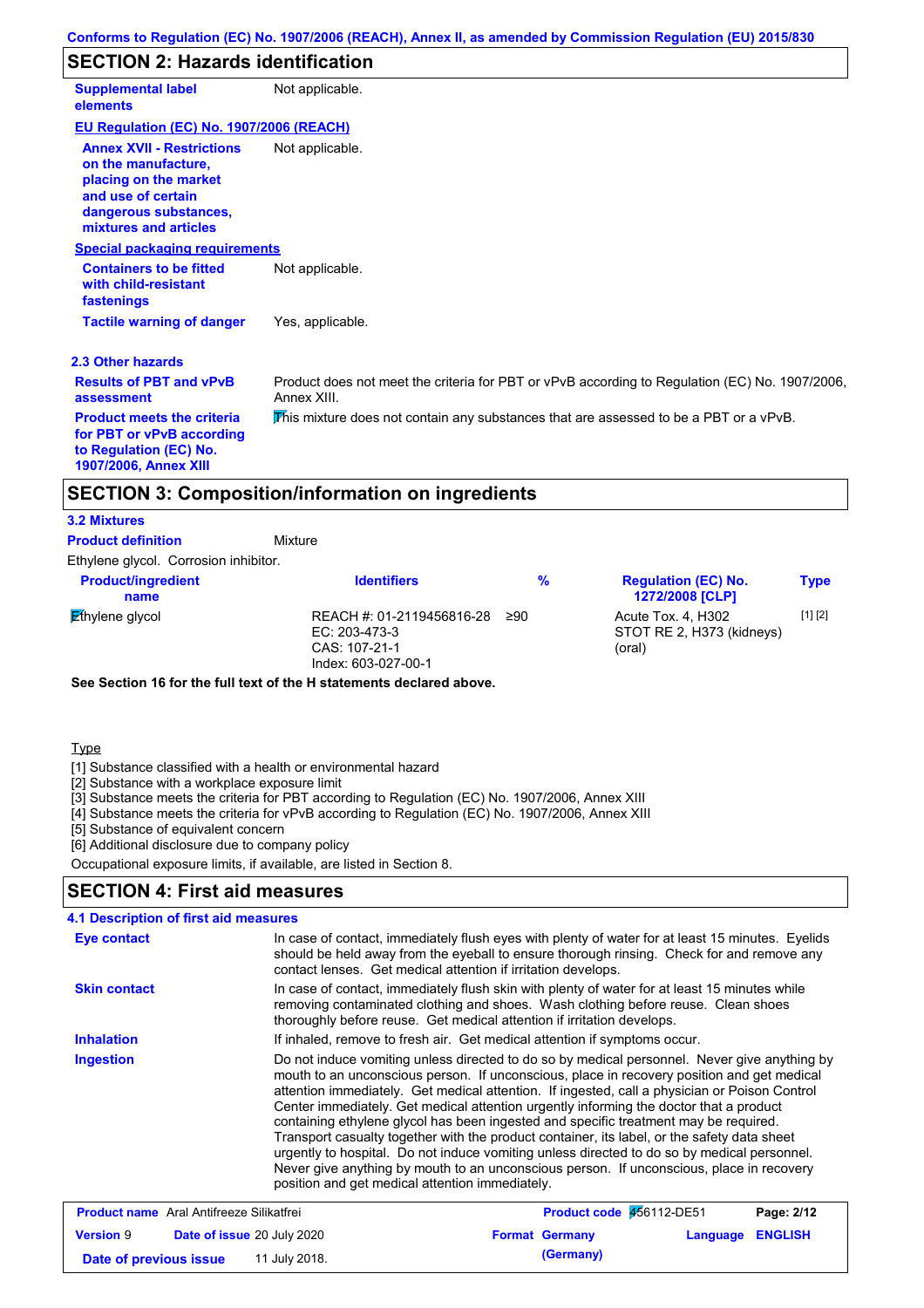### **SECTION 2: Hazards identification**

| <b>Supplemental label</b><br>elements                                                                                                                    | Not applicable.                                                                                               |
|----------------------------------------------------------------------------------------------------------------------------------------------------------|---------------------------------------------------------------------------------------------------------------|
| EU Regulation (EC) No. 1907/2006 (REACH)                                                                                                                 |                                                                                                               |
| <b>Annex XVII - Restrictions</b><br>on the manufacture,<br>placing on the market<br>and use of certain<br>dangerous substances,<br>mixtures and articles | Not applicable.                                                                                               |
| <b>Special packaging requirements</b>                                                                                                                    |                                                                                                               |
| <b>Containers to be fitted</b><br>with child-resistant<br>fastenings                                                                                     | Not applicable.                                                                                               |
| <b>Tactile warning of danger</b>                                                                                                                         | Yes, applicable.                                                                                              |
| 2.3 Other hazards                                                                                                                                        |                                                                                                               |
| <b>Results of PBT and vPvB</b><br>assessment                                                                                                             | Product does not meet the criteria for PBT or vPvB according to Regulation (EC) No. 1907/2006,<br>Annex XIII. |
| <b>Product meets the criteria</b><br>for PBT or vPvB according<br>to Regulation (EC) No.<br>1907/2006, Annex XIII                                        | This mixture does not contain any substances that are assessed to be a PBT or a vPvB.                         |
|                                                                                                                                                          | <b>SECTION 3: Composition/information on ingredients</b>                                                      |
| <b>3.2 Mixtures</b>                                                                                                                                      |                                                                                                               |

Mixture **Product definition**

| <b>Product/ingredient</b><br>name | <b>Identifiers</b>                                                                 | %   | <b>Regulation (EC) No.</b><br><b>1272/2008 [CLP]</b>      | <b>Type</b> |
|-----------------------------------|------------------------------------------------------------------------------------|-----|-----------------------------------------------------------|-------------|
| Ethylene glycol                   | REACH #: 01-2119456816-28<br>EC: 203-473-3<br>CAS: 107-21-1<br>Index: 603-027-00-1 | ≥90 | Acute Tox. 4. H302<br>STOT RE 2, H373 (kidneys)<br>(oral) | [1] [2]     |

**See Section 16 for the full text of the H statements declared above.**

Type

[1] Substance classified with a health or environmental hazard

[2] Substance with a workplace exposure limit

[3] Substance meets the criteria for PBT according to Regulation (EC) No. 1907/2006, Annex XIII

[4] Substance meets the criteria for vPvB according to Regulation (EC) No. 1907/2006, Annex XIII

[5] Substance of equivalent concern

[6] Additional disclosure due to company policy

Occupational exposure limits, if available, are listed in Section 8.

### **SECTION 4: First aid measures**

| <b>4.1 Description of first aid measures</b>    |                                                                                                                                                                                                                                                                                                                                                                                                                                                                                                                                                                                                                                                                                                                                                                                                                            |
|-------------------------------------------------|----------------------------------------------------------------------------------------------------------------------------------------------------------------------------------------------------------------------------------------------------------------------------------------------------------------------------------------------------------------------------------------------------------------------------------------------------------------------------------------------------------------------------------------------------------------------------------------------------------------------------------------------------------------------------------------------------------------------------------------------------------------------------------------------------------------------------|
| <b>Eye contact</b>                              | In case of contact, immediately flush eyes with plenty of water for at least 15 minutes. Eyelids<br>should be held away from the eyeball to ensure thorough rinsing. Check for and remove any<br>contact lenses. Get medical attention if irritation develops.                                                                                                                                                                                                                                                                                                                                                                                                                                                                                                                                                             |
| <b>Skin contact</b>                             | In case of contact, immediately flush skin with plenty of water for at least 15 minutes while<br>removing contaminated clothing and shoes. Wash clothing before reuse. Clean shoes<br>thoroughly before reuse. Get medical attention if irritation develops.                                                                                                                                                                                                                                                                                                                                                                                                                                                                                                                                                               |
| <b>Inhalation</b>                               | If inhaled, remove to fresh air. Get medical attention if symptoms occur.                                                                                                                                                                                                                                                                                                                                                                                                                                                                                                                                                                                                                                                                                                                                                  |
| Ingestion                                       | Do not induce vomiting unless directed to do so by medical personnel. Never give anything by<br>mouth to an unconscious person. If unconscious, place in recovery position and get medical<br>attention immediately. Get medical attention. If ingested, call a physician or Poison Control<br>Center immediately. Get medical attention urgently informing the doctor that a product<br>containing ethylene glycol has been ingested and specific treatment may be required.<br>Transport casualty together with the product container, its label, or the safety data sheet<br>urgently to hospital. Do not induce vomiting unless directed to do so by medical personnel.<br>Never give anything by mouth to an unconscious person. If unconscious, place in recovery<br>position and get medical attention immediately. |
| <b>Droduct name</b> Aral Antifrogzo Silikatfroj | <b>Droduct code 466112 DE61</b><br>Dao: 2/42                                                                                                                                                                                                                                                                                                                                                                                                                                                                                                                                                                                                                                                                                                                                                                               |

| <b>Product name</b> Aral Antifreeze Silikatfrei |                                   | <b>Product code 456112-DE51</b> |                  | Page: 2/12 |
|-------------------------------------------------|-----------------------------------|---------------------------------|------------------|------------|
| <b>Version 9</b>                                | <b>Date of issue 20 July 2020</b> | <b>Format Germany</b>           | Language ENGLISH |            |
| Date of previous issue                          | 11 July 2018.                     | (Germany)                       |                  |            |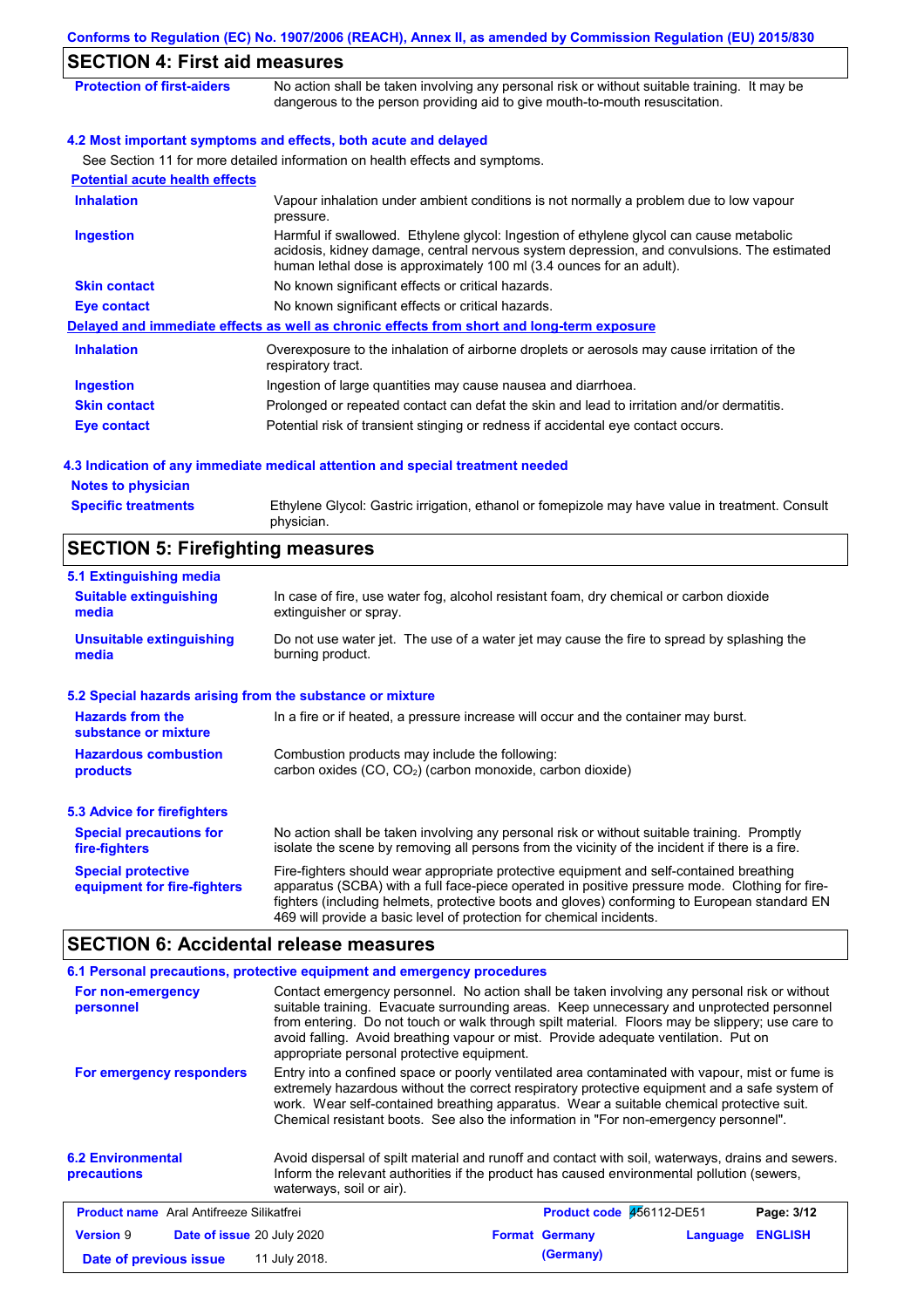| <b>SECTION 4: First aid measures</b>  | Conforms to Regulation (EC) No. 1907/2006 (REACH), Annex II, as amended by Commission Regulation (EU) 2015/830                                                                                                                                                |
|---------------------------------------|---------------------------------------------------------------------------------------------------------------------------------------------------------------------------------------------------------------------------------------------------------------|
| <b>Protection of first-aiders</b>     | No action shall be taken involving any personal risk or without suitable training. It may be<br>dangerous to the person providing aid to give mouth-to-mouth resuscitation.                                                                                   |
|                                       | 4.2 Most important symptoms and effects, both acute and delayed                                                                                                                                                                                               |
|                                       | See Section 11 for more detailed information on health effects and symptoms.                                                                                                                                                                                  |
| <b>Potential acute health effects</b> |                                                                                                                                                                                                                                                               |
| <b>Inhalation</b>                     | Vapour inhalation under ambient conditions is not normally a problem due to low vapour<br>pressure.                                                                                                                                                           |
| <b>Ingestion</b>                      | Harmful if swallowed. Ethylene glycol: Ingestion of ethylene glycol can cause metabolic<br>acidosis, kidney damage, central nervous system depression, and convulsions. The estimated<br>human lethal dose is approximately 100 ml (3.4 ounces for an adult). |
| <b>Skin contact</b>                   | No known significant effects or critical hazards.                                                                                                                                                                                                             |
| Eye contact                           | No known significant effects or critical hazards.                                                                                                                                                                                                             |
|                                       | Delayed and immediate effects as well as chronic effects from short and long-term exposure                                                                                                                                                                    |
| <b>Inhalation</b>                     | Overexposure to the inhalation of airborne droplets or aerosols may cause irritation of the<br>respiratory tract.                                                                                                                                             |
| Ingestion                             | Ingestion of large quantities may cause nausea and diarrhoea.                                                                                                                                                                                                 |
| <b>Skin contact</b>                   | Prolonged or repeated contact can defat the skin and lead to irritation and/or dermatitis.                                                                                                                                                                    |

**Eye contact** Potential risk of transient stinging or redness if accidental eye contact occurs.

## **4.3 Indication of any immediate medical attention and special treatment needed**

#### **Notes to physician Specific treatments**

Ethylene Glycol: Gastric irrigation, ethanol or fomepizole may have value in treatment. Consult physician.

# **SECTION 5: Firefighting measures**

| 5.1 Extinguishing media                                   |                                                                                                                                                                                                                                                                                                                                                                   |
|-----------------------------------------------------------|-------------------------------------------------------------------------------------------------------------------------------------------------------------------------------------------------------------------------------------------------------------------------------------------------------------------------------------------------------------------|
| <b>Suitable extinguishing</b><br>media                    | In case of fire, use water fog, alcohol resistant foam, dry chemical or carbon dioxide<br>extinguisher or spray.                                                                                                                                                                                                                                                  |
| <b>Unsuitable extinguishing</b><br>media                  | Do not use water jet. The use of a water jet may cause the fire to spread by splashing the<br>burning product.                                                                                                                                                                                                                                                    |
| 5.2 Special hazards arising from the substance or mixture |                                                                                                                                                                                                                                                                                                                                                                   |
| <b>Hazards from the</b><br>substance or mixture           | In a fire or if heated, a pressure increase will occur and the container may burst.                                                                                                                                                                                                                                                                               |
| <b>Hazardous combustion</b><br>products                   | Combustion products may include the following:<br>carbon oxides (CO, CO <sub>2</sub> ) (carbon monoxide, carbon dioxide)                                                                                                                                                                                                                                          |
| 5.3 Advice for firefighters                               |                                                                                                                                                                                                                                                                                                                                                                   |
| <b>Special precautions for</b><br>fire-fighters           | No action shall be taken involving any personal risk or without suitable training. Promptly<br>isolate the scene by removing all persons from the vicinity of the incident if there is a fire.                                                                                                                                                                    |
| <b>Special protective</b><br>equipment for fire-fighters  | Fire-fighters should wear appropriate protective equipment and self-contained breathing<br>apparatus (SCBA) with a full face-piece operated in positive pressure mode. Clothing for fire-<br>fighters (including helmets, protective boots and gloves) conforming to European standard EN<br>469 will provide a basic level of protection for chemical incidents. |

# **SECTION 6: Accidental release measures**

|                                                       | 6.1 Personal precautions, protective equipment and emergency procedures |                                                                                                                                                                                                                                                                                                                                                                                      |                            |
|-------------------------------------------------------|-------------------------------------------------------------------------|--------------------------------------------------------------------------------------------------------------------------------------------------------------------------------------------------------------------------------------------------------------------------------------------------------------------------------------------------------------------------------------|----------------------------|
| For non-emergency<br>personnel                        | appropriate personal protective equipment.                              | Contact emergency personnel. No action shall be taken involving any personal risk or without<br>suitable training. Evacuate surrounding areas. Keep unnecessary and unprotected personnel<br>from entering. Do not touch or walk through spilt material. Floors may be slippery; use care to<br>avoid falling. Avoid breathing vapour or mist. Provide adequate ventilation. Put on  |                            |
| For emergency responders                              |                                                                         | Entry into a confined space or poorly ventilated area contaminated with vapour, mist or fume is<br>extremely hazardous without the correct respiratory protective equipment and a safe system of<br>work. Wear self-contained breathing apparatus. Wear a suitable chemical protective suit.<br>Chemical resistant boots. See also the information in "For non-emergency personnel". |                            |
| <b>6.2 Environmental</b><br><b>precautions</b>        | waterways, soil or air).                                                | Avoid dispersal of spilt material and runoff and contact with soil, waterways, drains and sewers.<br>Inform the relevant authorities if the product has caused environmental pollution (sewers,                                                                                                                                                                                      |                            |
| <b>Product name</b> Aral Antifreeze Silikatfrei       |                                                                         | Product code 456112-DE51                                                                                                                                                                                                                                                                                                                                                             | Page: 3/12                 |
| <b>Version 9</b><br><b>Date of issue 20 July 2020</b> |                                                                         | <b>Format Germany</b>                                                                                                                                                                                                                                                                                                                                                                | <b>ENGLISH</b><br>Language |
| Date of previous issue                                | 11 July 2018.                                                           | (Germany)                                                                                                                                                                                                                                                                                                                                                                            |                            |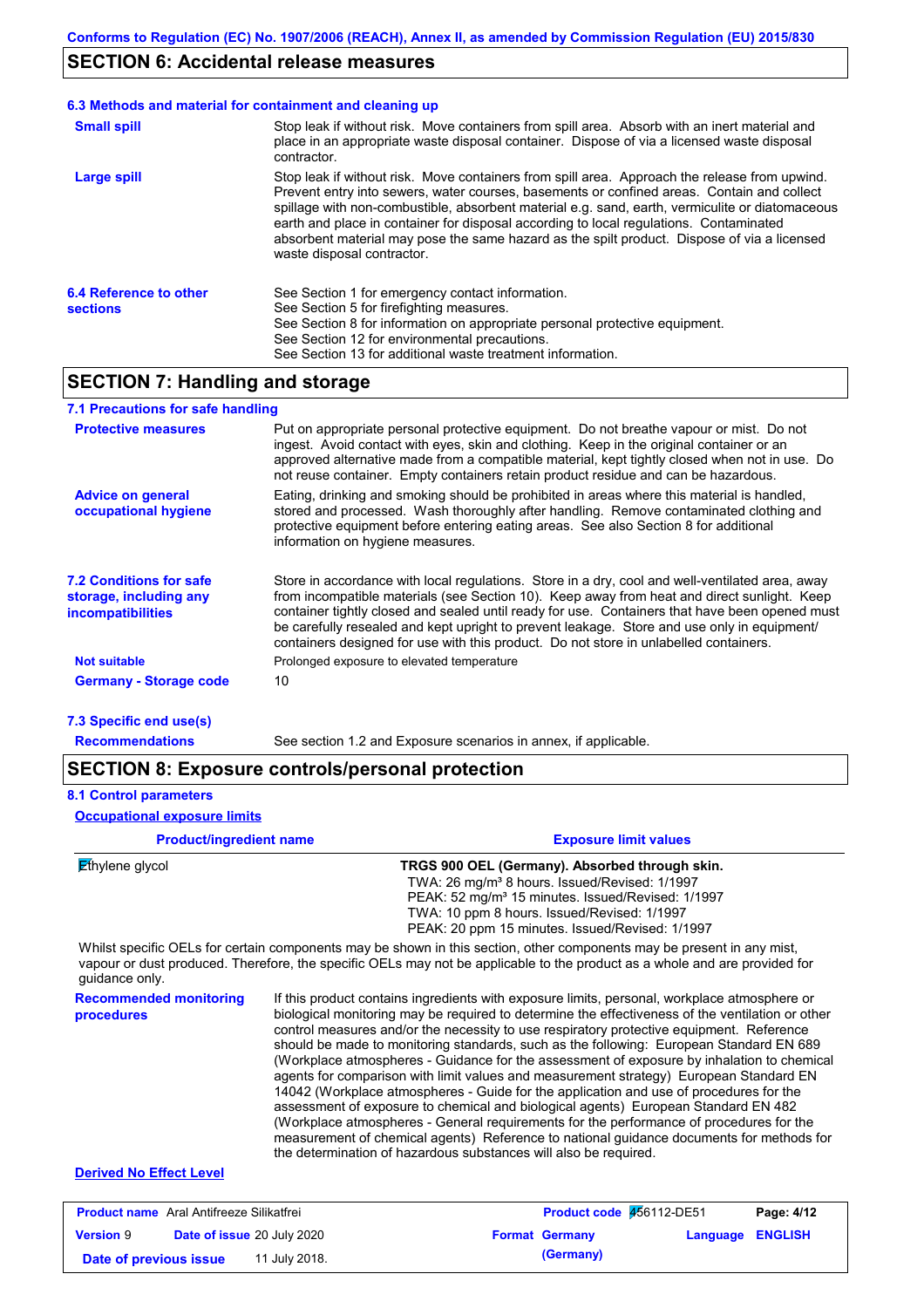### **SECTION 6: Accidental release measures**

#### Stop leak if without risk. Move containers from spill area. Approach the release from upwind. Prevent entry into sewers, water courses, basements or confined areas. Contain and collect spillage with non-combustible, absorbent material e.g. sand, earth, vermiculite or diatomaceous earth and place in container for disposal according to local regulations. Contaminated absorbent material may pose the same hazard as the spilt product. Dispose of via a licensed waste disposal contractor. **Large spill** Stop leak if without risk. Move containers from spill area. Absorb with an inert material and place in an appropriate waste disposal container. Dispose of via a licensed waste disposal contractor. **Small spill 6.3 Methods and material for containment and cleaning up 6.4 Reference to other sections** See Section 1 for emergency contact information. See Section 5 for firefighting measures. See Section 8 for information on appropriate personal protective equipment. See Section 12 for environmental precautions. See Section 13 for additional waste treatment information.

### **SECTION 7: Handling and storage**

### **7.1 Precautions for safe handling**

| <b>Protective measures</b>                                                           | Put on appropriate personal protective equipment. Do not breathe vapour or mist. Do not<br>ingest. Avoid contact with eyes, skin and clothing. Keep in the original container or an<br>approved alternative made from a compatible material, kept tightly closed when not in use. Do<br>not reuse container. Empty containers retain product residue and can be hazardous.                                                                                                               |
|--------------------------------------------------------------------------------------|------------------------------------------------------------------------------------------------------------------------------------------------------------------------------------------------------------------------------------------------------------------------------------------------------------------------------------------------------------------------------------------------------------------------------------------------------------------------------------------|
| <b>Advice on general</b><br>occupational hygiene                                     | Eating, drinking and smoking should be prohibited in areas where this material is handled.<br>stored and processed. Wash thoroughly after handling. Remove contaminated clothing and<br>protective equipment before entering eating areas. See also Section 8 for additional<br>information on hygiene measures.                                                                                                                                                                         |
| <b>7.2 Conditions for safe</b><br>storage, including any<br><i>incompatibilities</i> | Store in accordance with local regulations. Store in a dry, cool and well-ventilated area, away<br>from incompatible materials (see Section 10). Keep away from heat and direct sunlight. Keep<br>container tightly closed and sealed until ready for use. Containers that have been opened must<br>be carefully resealed and kept upright to prevent leakage. Store and use only in equipment/<br>containers designed for use with this product. Do not store in unlabelled containers. |
| <b>Not suitable</b>                                                                  | Prolonged exposure to elevated temperature                                                                                                                                                                                                                                                                                                                                                                                                                                               |
| <b>Germany - Storage code</b>                                                        | 10                                                                                                                                                                                                                                                                                                                                                                                                                                                                                       |
| 7.3 Specific end use(s)                                                              |                                                                                                                                                                                                                                                                                                                                                                                                                                                                                          |
| <b>Recommendations</b>                                                               | See section 1.2 and Exposure scenarios in annex, if applicable.                                                                                                                                                                                                                                                                                                                                                                                                                          |

### **SECTION 8: Exposure controls/personal protection**

#### **8.1 Control parameters**

#### **Occupational exposure limits**

| <b>Product/ingredient name</b>              | <b>Exposure limit values</b>                                                                                                                                                                                                                                                                                                                                                                                                                                                                                                                                                                                                                                                                                                                                                                                                                                                                                                                                                                                               |
|---------------------------------------------|----------------------------------------------------------------------------------------------------------------------------------------------------------------------------------------------------------------------------------------------------------------------------------------------------------------------------------------------------------------------------------------------------------------------------------------------------------------------------------------------------------------------------------------------------------------------------------------------------------------------------------------------------------------------------------------------------------------------------------------------------------------------------------------------------------------------------------------------------------------------------------------------------------------------------------------------------------------------------------------------------------------------------|
| Ethylene glycol                             | TRGS 900 OEL (Germany). Absorbed through skin.<br>TWA: 26 mg/m <sup>3</sup> 8 hours. Issued/Revised: 1/1997<br>PEAK: 52 mg/m <sup>3</sup> 15 minutes. Issued/Revised: 1/1997<br>TWA: 10 ppm 8 hours. Issued/Revised: 1/1997<br>PEAK: 20 ppm 15 minutes. Issued/Revised: 1/1997                                                                                                                                                                                                                                                                                                                                                                                                                                                                                                                                                                                                                                                                                                                                             |
| quidance only.                              | Whilst specific OELs for certain components may be shown in this section, other components may be present in any mist,<br>vapour or dust produced. Therefore, the specific OELs may not be applicable to the product as a whole and are provided for                                                                                                                                                                                                                                                                                                                                                                                                                                                                                                                                                                                                                                                                                                                                                                       |
| <b>Recommended monitoring</b><br>procedures | If this product contains ingredients with exposure limits, personal, workplace atmosphere or<br>biological monitoring may be required to determine the effectiveness of the ventilation or other<br>control measures and/or the necessity to use respiratory protective equipment. Reference<br>should be made to monitoring standards, such as the following: European Standard EN 689<br>(Workplace atmospheres - Guidance for the assessment of exposure by inhalation to chemical<br>agents for comparison with limit values and measurement strategy) European Standard EN<br>14042 (Workplace atmospheres - Guide for the application and use of procedures for the<br>assessment of exposure to chemical and biological agents) European Standard EN 482<br>(Workplace atmospheres - General requirements for the performance of procedures for the<br>measurement of chemical agents) Reference to national guidance documents for methods for<br>the determination of hazardous substances will also be required. |
|                                             |                                                                                                                                                                                                                                                                                                                                                                                                                                                                                                                                                                                                                                                                                                                                                                                                                                                                                                                                                                                                                            |

| <b>Product name</b> Aral Antifreeze Silikatfrei |  | Product code 456112-DE51          |  | Page: 4/12            |                         |  |
|-------------------------------------------------|--|-----------------------------------|--|-----------------------|-------------------------|--|
| <b>Version 9</b>                                |  | <b>Date of issue 20 July 2020</b> |  | <b>Format Germany</b> | <b>Language ENGLISH</b> |  |
| Date of previous issue                          |  | 11 July 2018.                     |  | (Germany)             |                         |  |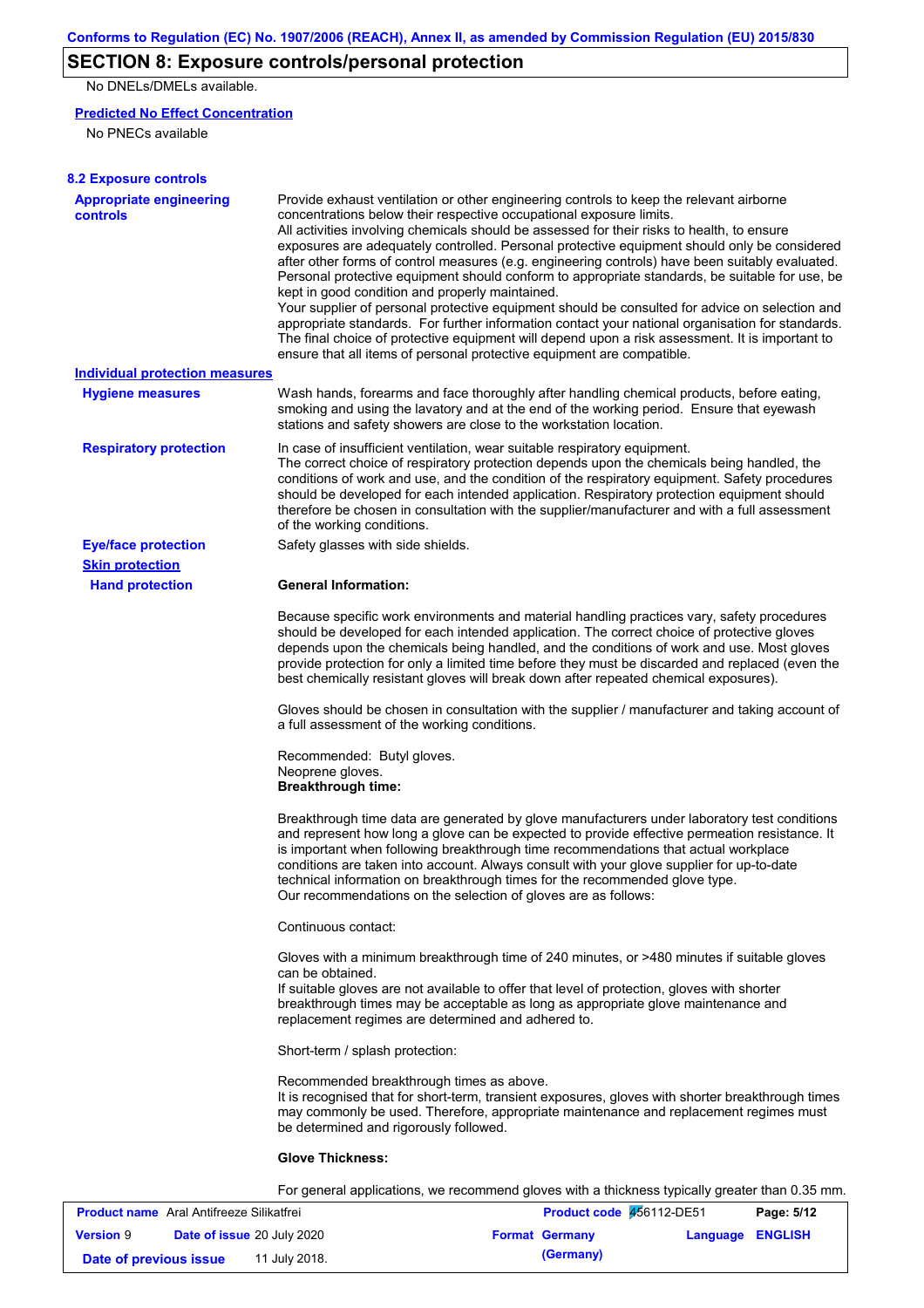# **SECTION 8: Exposure controls/personal protection**

No DNELs/DMELs available.

#### **Predicted No Effect Concentration**

No PNECs available

| <b>8.2 Exposure controls</b>                      |                                                                                                                                                                                                                                                                                                                                                                                                                                                                                                                                                                                                                                                                                                                                                                                                                                                                                                                                                                                                         |
|---------------------------------------------------|---------------------------------------------------------------------------------------------------------------------------------------------------------------------------------------------------------------------------------------------------------------------------------------------------------------------------------------------------------------------------------------------------------------------------------------------------------------------------------------------------------------------------------------------------------------------------------------------------------------------------------------------------------------------------------------------------------------------------------------------------------------------------------------------------------------------------------------------------------------------------------------------------------------------------------------------------------------------------------------------------------|
| <b>Appropriate engineering</b><br><b>controls</b> | Provide exhaust ventilation or other engineering controls to keep the relevant airborne<br>concentrations below their respective occupational exposure limits.<br>All activities involving chemicals should be assessed for their risks to health, to ensure<br>exposures are adequately controlled. Personal protective equipment should only be considered<br>after other forms of control measures (e.g. engineering controls) have been suitably evaluated.<br>Personal protective equipment should conform to appropriate standards, be suitable for use, be<br>kept in good condition and properly maintained.<br>Your supplier of personal protective equipment should be consulted for advice on selection and<br>appropriate standards. For further information contact your national organisation for standards.<br>The final choice of protective equipment will depend upon a risk assessment. It is important to<br>ensure that all items of personal protective equipment are compatible. |
| <b>Individual protection measures</b>             |                                                                                                                                                                                                                                                                                                                                                                                                                                                                                                                                                                                                                                                                                                                                                                                                                                                                                                                                                                                                         |
| <b>Hygiene measures</b>                           | Wash hands, forearms and face thoroughly after handling chemical products, before eating,<br>smoking and using the lavatory and at the end of the working period. Ensure that eyewash<br>stations and safety showers are close to the workstation location.                                                                                                                                                                                                                                                                                                                                                                                                                                                                                                                                                                                                                                                                                                                                             |
| <b>Respiratory protection</b>                     | In case of insufficient ventilation, wear suitable respiratory equipment.<br>The correct choice of respiratory protection depends upon the chemicals being handled, the<br>conditions of work and use, and the condition of the respiratory equipment. Safety procedures<br>should be developed for each intended application. Respiratory protection equipment should<br>therefore be chosen in consultation with the supplier/manufacturer and with a full assessment<br>of the working conditions.                                                                                                                                                                                                                                                                                                                                                                                                                                                                                                   |
| <b>Eye/face protection</b>                        | Safety glasses with side shields.                                                                                                                                                                                                                                                                                                                                                                                                                                                                                                                                                                                                                                                                                                                                                                                                                                                                                                                                                                       |
| <b>Skin protection</b>                            |                                                                                                                                                                                                                                                                                                                                                                                                                                                                                                                                                                                                                                                                                                                                                                                                                                                                                                                                                                                                         |
| <b>Hand protection</b>                            | <b>General Information:</b>                                                                                                                                                                                                                                                                                                                                                                                                                                                                                                                                                                                                                                                                                                                                                                                                                                                                                                                                                                             |
|                                                   | Because specific work environments and material handling practices vary, safety procedures<br>should be developed for each intended application. The correct choice of protective gloves<br>depends upon the chemicals being handled, and the conditions of work and use. Most gloves<br>provide protection for only a limited time before they must be discarded and replaced (even the<br>best chemically resistant gloves will break down after repeated chemical exposures).                                                                                                                                                                                                                                                                                                                                                                                                                                                                                                                        |
|                                                   | Gloves should be chosen in consultation with the supplier / manufacturer and taking account of<br>a full assessment of the working conditions.                                                                                                                                                                                                                                                                                                                                                                                                                                                                                                                                                                                                                                                                                                                                                                                                                                                          |
|                                                   | Recommended: Butyl gloves.<br>Neoprene gloves.<br><b>Breakthrough time:</b>                                                                                                                                                                                                                                                                                                                                                                                                                                                                                                                                                                                                                                                                                                                                                                                                                                                                                                                             |
|                                                   | Breakthrough time data are generated by glove manufacturers under laboratory test conditions<br>and represent how long a glove can be expected to provide effective permeation resistance. It<br>is important when following breakthrough time recommendations that actual workplace<br>conditions are taken into account. Always consult with your glove supplier for up-to-date<br>technical information on breakthrough times for the recommended glove type.<br>Our recommendations on the selection of gloves are as follows:                                                                                                                                                                                                                                                                                                                                                                                                                                                                      |
|                                                   | Continuous contact:                                                                                                                                                                                                                                                                                                                                                                                                                                                                                                                                                                                                                                                                                                                                                                                                                                                                                                                                                                                     |
|                                                   | Gloves with a minimum breakthrough time of 240 minutes, or >480 minutes if suitable gloves<br>can be obtained.<br>If suitable gloves are not available to offer that level of protection, gloves with shorter<br>breakthrough times may be acceptable as long as appropriate glove maintenance and<br>replacement regimes are determined and adhered to.                                                                                                                                                                                                                                                                                                                                                                                                                                                                                                                                                                                                                                                |
|                                                   | Short-term / splash protection:                                                                                                                                                                                                                                                                                                                                                                                                                                                                                                                                                                                                                                                                                                                                                                                                                                                                                                                                                                         |
|                                                   | Recommended breakthrough times as above.<br>It is recognised that for short-term, transient exposures, gloves with shorter breakthrough times<br>may commonly be used. Therefore, appropriate maintenance and replacement regimes must<br>be determined and rigorously followed.                                                                                                                                                                                                                                                                                                                                                                                                                                                                                                                                                                                                                                                                                                                        |
|                                                   | <b>Glove Thickness:</b>                                                                                                                                                                                                                                                                                                                                                                                                                                                                                                                                                                                                                                                                                                                                                                                                                                                                                                                                                                                 |
|                                                   | For general applications, we recommend gloves with a thickness typically greater than 0.35 mm.                                                                                                                                                                                                                                                                                                                                                                                                                                                                                                                                                                                                                                                                                                                                                                                                                                                                                                          |
| Aral Antifronzo Cilikatfroi                       | <b>Draduct code</b> $\overline{46}$ 6112 DE51<br>Dao: E/42                                                                                                                                                                                                                                                                                                                                                                                                                                                                                                                                                                                                                                                                                                                                                                                                                                                                                                                                              |

| <b>Product name</b> Aral Antifreeze Silikatfrei |                                   | Product code 456112-DE51 |  | Page: 5/12            |                         |  |
|-------------------------------------------------|-----------------------------------|--------------------------|--|-----------------------|-------------------------|--|
| <b>Version 9</b>                                | <b>Date of issue 20 July 2020</b> |                          |  | <b>Format Germany</b> | <b>Language ENGLISH</b> |  |
| Date of previous issue                          |                                   | 11 July 2018.            |  | (Germany)             |                         |  |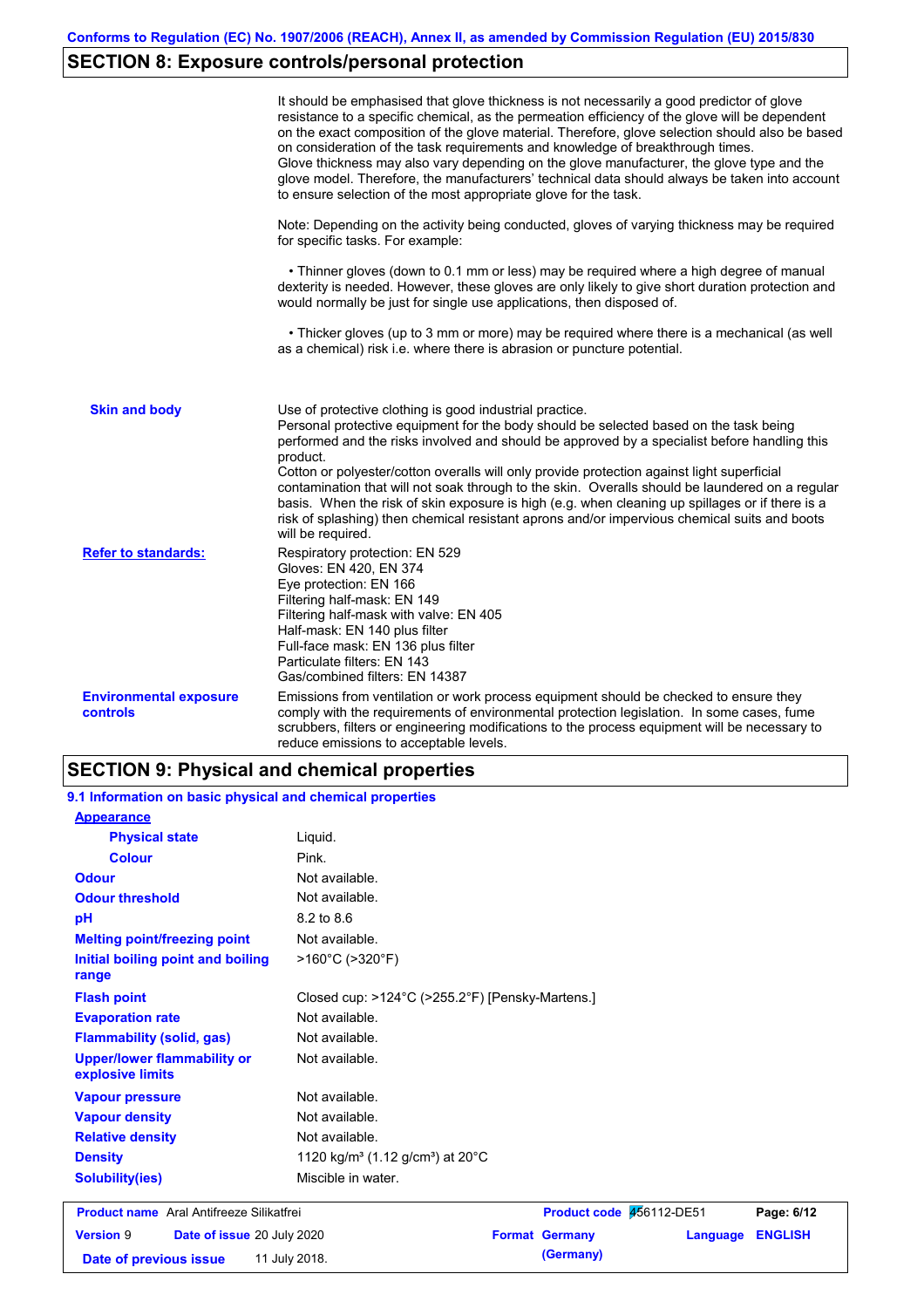# **SECTION 8: Exposure controls/personal protection**

|                                                  | It should be emphasised that glove thickness is not necessarily a good predictor of glove<br>resistance to a specific chemical, as the permeation efficiency of the glove will be dependent<br>on the exact composition of the glove material. Therefore, glove selection should also be based<br>on consideration of the task requirements and knowledge of breakthrough times.<br>Glove thickness may also vary depending on the glove manufacturer, the glove type and the<br>glove model. Therefore, the manufacturers' technical data should always be taken into account<br>to ensure selection of the most appropriate glove for the task.                                     |
|--------------------------------------------------|---------------------------------------------------------------------------------------------------------------------------------------------------------------------------------------------------------------------------------------------------------------------------------------------------------------------------------------------------------------------------------------------------------------------------------------------------------------------------------------------------------------------------------------------------------------------------------------------------------------------------------------------------------------------------------------|
|                                                  | Note: Depending on the activity being conducted, gloves of varying thickness may be required<br>for specific tasks. For example:                                                                                                                                                                                                                                                                                                                                                                                                                                                                                                                                                      |
|                                                  | • Thinner gloves (down to 0.1 mm or less) may be required where a high degree of manual<br>dexterity is needed. However, these gloves are only likely to give short duration protection and<br>would normally be just for single use applications, then disposed of.                                                                                                                                                                                                                                                                                                                                                                                                                  |
|                                                  | • Thicker gloves (up to 3 mm or more) may be required where there is a mechanical (as well<br>as a chemical) risk i.e. where there is abrasion or puncture potential.                                                                                                                                                                                                                                                                                                                                                                                                                                                                                                                 |
| <b>Skin and body</b>                             | Use of protective clothing is good industrial practice.<br>Personal protective equipment for the body should be selected based on the task being<br>performed and the risks involved and should be approved by a specialist before handling this<br>product.<br>Cotton or polyester/cotton overalls will only provide protection against light superficial<br>contamination that will not soak through to the skin. Overalls should be laundered on a regular<br>basis. When the risk of skin exposure is high (e.g. when cleaning up spillages or if there is a<br>risk of splashing) then chemical resistant aprons and/or impervious chemical suits and boots<br>will be required. |
| <b>Refer to standards:</b>                       | Respiratory protection: EN 529<br>Gloves: EN 420, EN 374<br>Eye protection: EN 166<br>Filtering half-mask: EN 149<br>Filtering half-mask with valve: EN 405<br>Half-mask: EN 140 plus filter<br>Full-face mask: EN 136 plus filter<br>Particulate filters: EN 143<br>Gas/combined filters: EN 14387                                                                                                                                                                                                                                                                                                                                                                                   |
| <b>Environmental exposure</b><br><b>controls</b> | Emissions from ventilation or work process equipment should be checked to ensure they<br>comply with the requirements of environmental protection legislation. In some cases, fume<br>scrubbers, filters or engineering modifications to the process equipment will be necessary to<br>reduce emissions to acceptable levels.                                                                                                                                                                                                                                                                                                                                                         |

# **SECTION 9: Physical and chemical properties**

**9.1 Information on basic physical and chemical properties**

| <b>Appearance</b>                                      |                                                                       |                          |          |                |
|--------------------------------------------------------|-----------------------------------------------------------------------|--------------------------|----------|----------------|
| <b>Physical state</b>                                  | Liquid.                                                               |                          |          |                |
| <b>Colour</b>                                          | Pink.                                                                 |                          |          |                |
| <b>Odour</b>                                           | Not available.                                                        |                          |          |                |
| <b>Odour threshold</b>                                 | Not available.                                                        |                          |          |                |
| pH                                                     | 8.2 to 8.6                                                            |                          |          |                |
| <b>Melting point/freezing point</b>                    | Not available.                                                        |                          |          |                |
| Initial boiling point and boiling<br>range             | $>160^{\circ}$ C ( $>320^{\circ}$ F)                                  |                          |          |                |
| <b>Flash point</b>                                     | Closed cup: $>124^{\circ}$ C ( $>255.2^{\circ}$ F) [Pensky-Martens.]  |                          |          |                |
| <b>Evaporation rate</b>                                | Not available.                                                        |                          |          |                |
| <b>Flammability (solid, gas)</b>                       | Not available.                                                        |                          |          |                |
| <b>Upper/lower flammability or</b><br>explosive limits | Not available.                                                        |                          |          |                |
| <b>Vapour pressure</b>                                 | Not available.                                                        |                          |          |                |
| <b>Vapour density</b>                                  | Not available.                                                        |                          |          |                |
| <b>Relative density</b>                                | Not available.                                                        |                          |          |                |
| <b>Density</b>                                         | 1120 kg/m <sup>3</sup> (1.12 g/cm <sup>3</sup> ) at 20 <sup>°</sup> C |                          |          |                |
| <b>Solubility(ies)</b>                                 | Miscible in water.                                                    |                          |          |                |
| <b>Product name</b> Aral Antifreeze Silikatfrei        |                                                                       | Product code #56112-DE51 |          | Page: 6/12     |
| <b>Version 9</b><br>Date of issue 20 July 2020         |                                                                       | <b>Format Germany</b>    | Language | <b>ENGLISH</b> |

**Date of previous issue 11 July 2018. (Germany) (Germany)**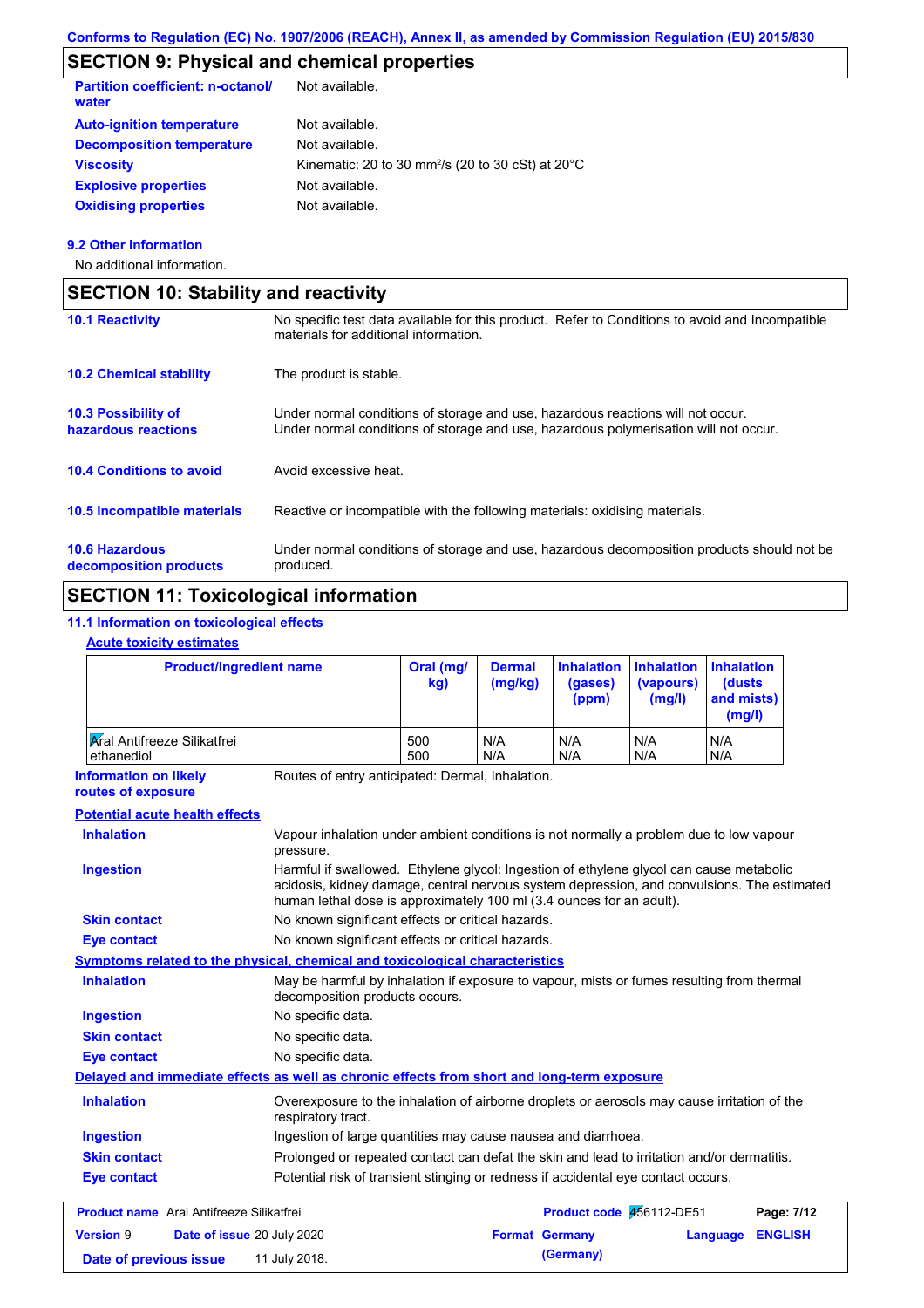### **SECTION 9: Physical and chemical properties**

| <b>Partition coefficient: n-octanol/</b><br>water | Not available.                                                          |
|---------------------------------------------------|-------------------------------------------------------------------------|
| <b>Auto-ignition temperature</b>                  | Not available.                                                          |
| <b>Decomposition temperature</b>                  | Not available.                                                          |
| <b>Viscosity</b>                                  | Kinematic: 20 to 30 mm <sup>2</sup> /s (20 to 30 cSt) at $20^{\circ}$ C |
| <b>Explosive properties</b>                       | Not available.                                                          |
| <b>Oxidising properties</b>                       | Not available.                                                          |
|                                                   |                                                                         |

#### **9.2 Other information**

No additional information.

| <b>SECTION 10: Stability and reactivity</b>       |                                                                                                                                                                         |
|---------------------------------------------------|-------------------------------------------------------------------------------------------------------------------------------------------------------------------------|
| <b>10.1 Reactivity</b>                            | No specific test data available for this product. Refer to Conditions to avoid and Incompatible<br>materials for additional information.                                |
| <b>10.2 Chemical stability</b>                    | The product is stable.                                                                                                                                                  |
| <b>10.3 Possibility of</b><br>hazardous reactions | Under normal conditions of storage and use, hazardous reactions will not occur.<br>Under normal conditions of storage and use, hazardous polymerisation will not occur. |
| <b>10.4 Conditions to avoid</b>                   | Avoid excessive heat.                                                                                                                                                   |
| <b>10.5 Incompatible materials</b>                | Reactive or incompatible with the following materials: oxidising materials.                                                                                             |
| <b>10.6 Hazardous</b><br>decomposition products   | Under normal conditions of storage and use, hazardous decomposition products should not be<br>produced.                                                                 |

# **SECTION 11: Toxicological information**

### **11.1 Information on toxicological effects**

### **Acute toxicity estimates**

| <b>Product/ingredient name</b>                                                             |                                                                                                                                                                                                                                                               | Oral (mg/<br>kg) | <b>Dermal</b><br>(mg/kg) | <b>Inhalation</b><br>(gases)<br>(ppm) | <b>Inhalation</b><br>(vapours)<br>(mg/l) | <b>Inhalation</b><br><b>(dusts)</b><br>and mists)<br>(mg/l) |                |
|--------------------------------------------------------------------------------------------|---------------------------------------------------------------------------------------------------------------------------------------------------------------------------------------------------------------------------------------------------------------|------------------|--------------------------|---------------------------------------|------------------------------------------|-------------------------------------------------------------|----------------|
| <b>Aral Antifreeze Silikatfrei</b><br>ethanediol                                           |                                                                                                                                                                                                                                                               | 500<br>500       | N/A<br>N/A               | N/A<br>N/A                            | N/A<br>N/A                               | N/A<br>N/A                                                  |                |
| <b>Information on likely</b><br>routes of exposure                                         | Routes of entry anticipated: Dermal, Inhalation.                                                                                                                                                                                                              |                  |                          |                                       |                                          |                                                             |                |
| <b>Potential acute health effects</b>                                                      |                                                                                                                                                                                                                                                               |                  |                          |                                       |                                          |                                                             |                |
| <b>Inhalation</b>                                                                          | Vapour inhalation under ambient conditions is not normally a problem due to low vapour<br>pressure.                                                                                                                                                           |                  |                          |                                       |                                          |                                                             |                |
| <b>Ingestion</b>                                                                           | Harmful if swallowed. Ethylene glycol: Ingestion of ethylene glycol can cause metabolic<br>acidosis, kidney damage, central nervous system depression, and convulsions. The estimated<br>human lethal dose is approximately 100 ml (3.4 ounces for an adult). |                  |                          |                                       |                                          |                                                             |                |
| <b>Skin contact</b>                                                                        | No known significant effects or critical hazards.                                                                                                                                                                                                             |                  |                          |                                       |                                          |                                                             |                |
| <b>Eye contact</b>                                                                         | No known significant effects or critical hazards.                                                                                                                                                                                                             |                  |                          |                                       |                                          |                                                             |                |
| <b>Symptoms related to the physical, chemical and toxicological characteristics</b>        |                                                                                                                                                                                                                                                               |                  |                          |                                       |                                          |                                                             |                |
| <b>Inhalation</b>                                                                          | May be harmful by inhalation if exposure to vapour, mists or fumes resulting from thermal<br>decomposition products occurs.                                                                                                                                   |                  |                          |                                       |                                          |                                                             |                |
| <b>Ingestion</b>                                                                           | No specific data.                                                                                                                                                                                                                                             |                  |                          |                                       |                                          |                                                             |                |
| <b>Skin contact</b>                                                                        | No specific data.                                                                                                                                                                                                                                             |                  |                          |                                       |                                          |                                                             |                |
| <b>Eye contact</b>                                                                         | No specific data.                                                                                                                                                                                                                                             |                  |                          |                                       |                                          |                                                             |                |
| Delayed and immediate effects as well as chronic effects from short and long-term exposure |                                                                                                                                                                                                                                                               |                  |                          |                                       |                                          |                                                             |                |
| <b>Inhalation</b>                                                                          | Overexposure to the inhalation of airborne droplets or aerosols may cause irritation of the<br>respiratory tract.                                                                                                                                             |                  |                          |                                       |                                          |                                                             |                |
| <b>Ingestion</b>                                                                           | Ingestion of large quantities may cause nausea and diarrhoea.                                                                                                                                                                                                 |                  |                          |                                       |                                          |                                                             |                |
| <b>Skin contact</b>                                                                        | Prolonged or repeated contact can defat the skin and lead to irritation and/or dermatitis.                                                                                                                                                                    |                  |                          |                                       |                                          |                                                             |                |
| <b>Eye contact</b>                                                                         | Potential risk of transient stinging or redness if accidental eye contact occurs.                                                                                                                                                                             |                  |                          |                                       |                                          |                                                             |                |
| <b>Product name</b> Aral Antifreeze Silikatfrei                                            |                                                                                                                                                                                                                                                               |                  |                          | Product code 456112-DE51              |                                          |                                                             | Page: 7/12     |
| <b>Version 9</b><br>Date of issue 20 July 2020                                             |                                                                                                                                                                                                                                                               |                  | <b>Format Germany</b>    |                                       |                                          | Language                                                    | <b>ENGLISH</b> |
| Date of previous issue                                                                     | 11 July 2018.                                                                                                                                                                                                                                                 |                  |                          | (Germany)                             |                                          |                                                             |                |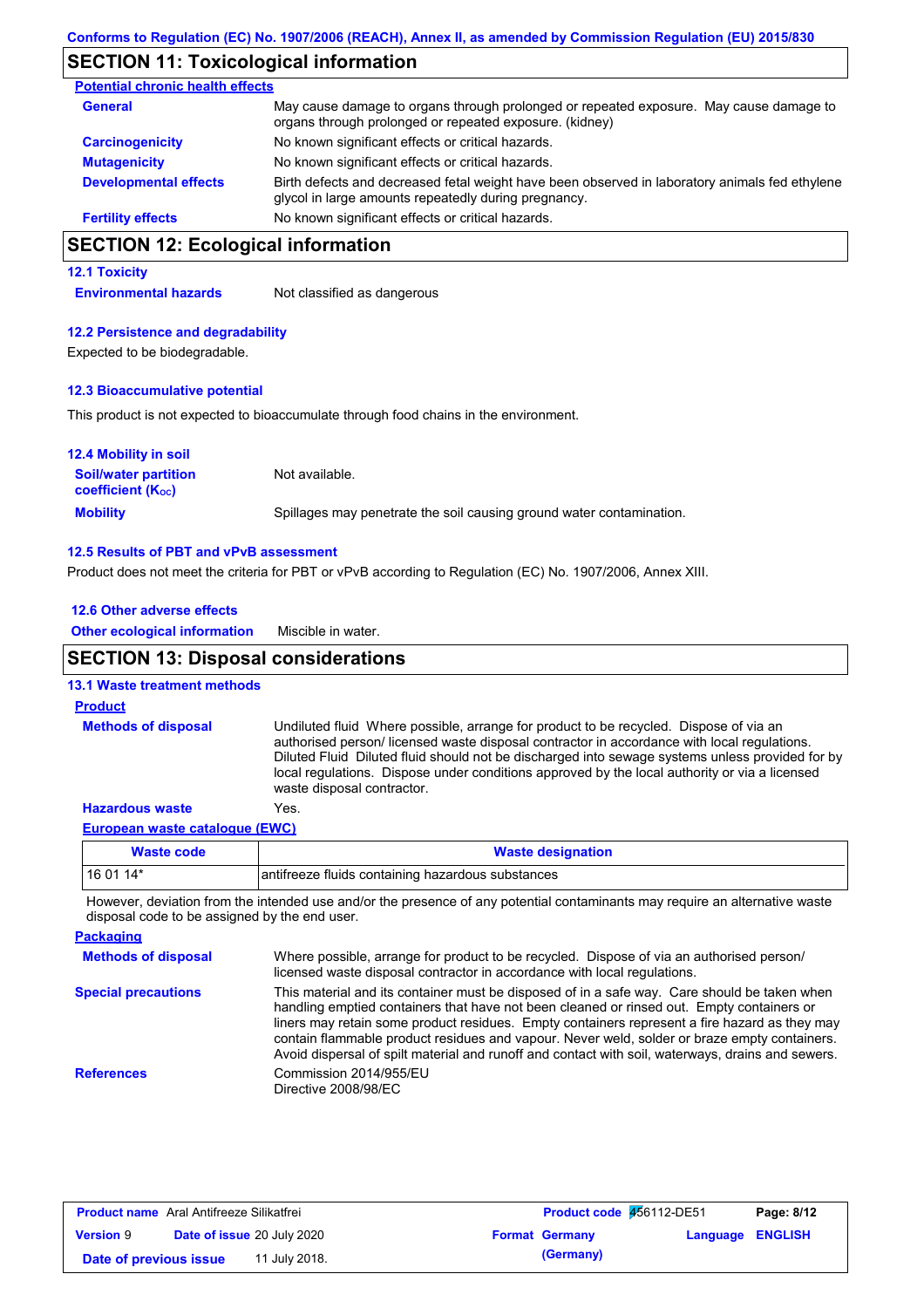### **SECTION 11: Toxicological information**

| <b>Potential chronic health effects</b> |                                                                                                                                                        |
|-----------------------------------------|--------------------------------------------------------------------------------------------------------------------------------------------------------|
| <b>General</b>                          | May cause damage to organs through prolonged or repeated exposure. May cause damage to<br>organs through prolonged or repeated exposure. (kidney)      |
| <b>Carcinogenicity</b>                  | No known significant effects or critical hazards.                                                                                                      |
| <b>Mutagenicity</b>                     | No known significant effects or critical hazards.                                                                                                      |
| <b>Developmental effects</b>            | Birth defects and decreased fetal weight have been observed in laboratory animals fed ethylene<br>glycol in large amounts repeatedly during pregnancy. |
| <b>Fertility effects</b>                | No known significant effects or critical hazards.                                                                                                      |

## **SECTION 12: Ecological information**

**12.1 Toxicity**

**Environmental hazards** Not classified as dangerous

#### **12.2 Persistence and degradability**

Expected to be biodegradable.

#### **12.3 Bioaccumulative potential**

This product is not expected to bioaccumulate through food chains in the environment.

| <b>12.4 Mobility in soil</b>                                         |                                                                      |
|----------------------------------------------------------------------|----------------------------------------------------------------------|
| <b>Soil/water partition</b><br><b>coefficient</b> (K <sub>oc</sub> ) | Not available.                                                       |
| <b>Mobility</b>                                                      | Spillages may penetrate the soil causing ground water contamination. |

#### **12.5 Results of PBT and vPvB assessment**

Product does not meet the criteria for PBT or vPvB according to Regulation (EC) No. 1907/2006, Annex XIII.

| 12.6 Other adverse effects                 |                                                                                                                                                                                                                                                                                                                                                                                                                       |
|--------------------------------------------|-----------------------------------------------------------------------------------------------------------------------------------------------------------------------------------------------------------------------------------------------------------------------------------------------------------------------------------------------------------------------------------------------------------------------|
| <b>Other ecological information</b>        | Miscible in water.                                                                                                                                                                                                                                                                                                                                                                                                    |
| <b>SECTION 13: Disposal considerations</b> |                                                                                                                                                                                                                                                                                                                                                                                                                       |
| <b>13.1 Waste treatment methods</b>        |                                                                                                                                                                                                                                                                                                                                                                                                                       |
| <b>Product</b>                             |                                                                                                                                                                                                                                                                                                                                                                                                                       |
| <b>Methods of disposal</b>                 | Undiluted fluid Where possible, arrange for product to be recycled. Dispose of via an<br>authorised person/licensed waste disposal contractor in accordance with local regulations.<br>Diluted Fluid Diluted fluid should not be discharged into sewage systems unless provided for by<br>local regulations. Dispose under conditions approved by the local authority or via a licensed<br>waste disposal contractor. |
| <b>Hazardous waste</b>                     | Yes.                                                                                                                                                                                                                                                                                                                                                                                                                  |
|                                            |                                                                                                                                                                                                                                                                                                                                                                                                                       |

#### **European waste catalogue (EWC)**

| <b>Waste code</b> | <b>Waste designation</b>                          |
|-------------------|---------------------------------------------------|
| 16 01 14*         | antifreeze fluids containing hazardous substances |

However, deviation from the intended use and/or the presence of any potential contaminants may require an alternative waste disposal code to be assigned by the end user.

| <b>Packaging</b>           |                                                                                                                                                                                                                                                                                                                                                                                                                                                                                                 |
|----------------------------|-------------------------------------------------------------------------------------------------------------------------------------------------------------------------------------------------------------------------------------------------------------------------------------------------------------------------------------------------------------------------------------------------------------------------------------------------------------------------------------------------|
| <b>Methods of disposal</b> | Where possible, arrange for product to be recycled. Dispose of via an authorised person/<br>licensed waste disposal contractor in accordance with local regulations.                                                                                                                                                                                                                                                                                                                            |
| <b>Special precautions</b> | This material and its container must be disposed of in a safe way. Care should be taken when<br>handling emptied containers that have not been cleaned or rinsed out. Empty containers or<br>liners may retain some product residues. Empty containers represent a fire hazard as they may<br>contain flammable product residues and vapour. Never weld, solder or braze empty containers.<br>Avoid dispersal of spilt material and runoff and contact with soil, waterways, drains and sewers. |
| <b>References</b>          | Commission 2014/955/EU<br>Directive 2008/98/EC                                                                                                                                                                                                                                                                                                                                                                                                                                                  |

| <b>Product name</b> Aral Antifreeze Silikatfrei |                                   |               | Product code 456112-DE51 |                       | Page: 8/12              |  |
|-------------------------------------------------|-----------------------------------|---------------|--------------------------|-----------------------|-------------------------|--|
| <b>Version 9</b>                                | <b>Date of issue 20 July 2020</b> |               |                          | <b>Format Germany</b> | <b>Language ENGLISH</b> |  |
| Date of previous issue                          |                                   | 11 July 2018. |                          | (Germany)             |                         |  |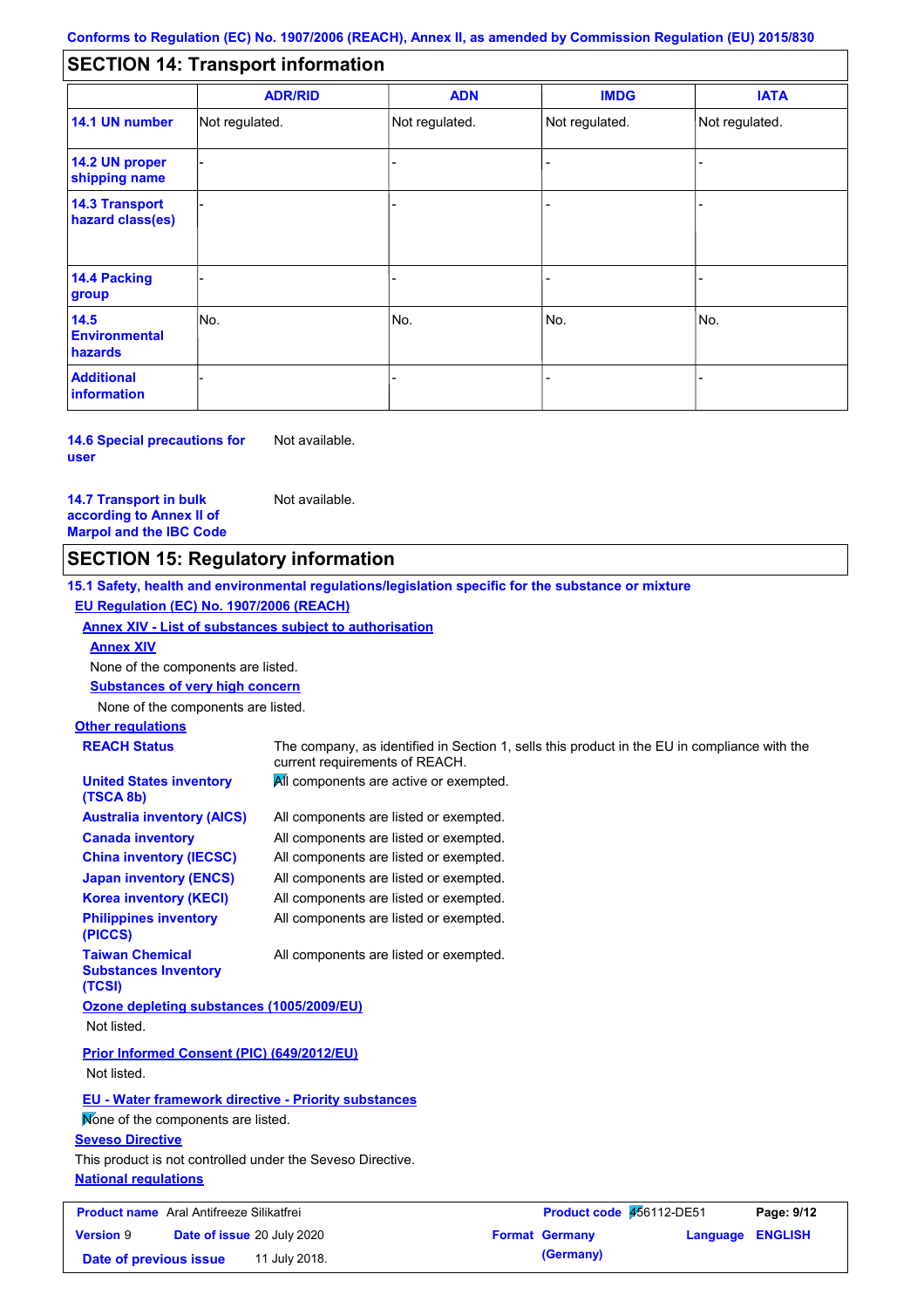#### - - - - - - - - - Not regulated. Not regulated. Not regulated. - - - **SECTION 14: Transport information ADR/RID IMDG IATA 14.1 UN number 14.2 UN proper shipping name 14.3 Transport hazard class(es) 14.4 Packing group ADN Additional information 14.5 Environmental hazards** No. 1980 | No. 1980 | No. 1980 | No. 1980 | No. 1980 | No. 1980 | No. 1980 | No. 1980 | No. 1980 | No. 1980 | Not regulated. - -<br>No. - -

**14.6 Special precautions for user** Not available.

**14.7 Transport in bulk according to Annex II of Marpol and the IBC Code** Not available.

## **SECTION 15: Regulatory information**

**15.1 Safety, health and environmental regulations/legislation specific for the substance or mixture EU Regulation (EC) No. 1907/2006 (REACH)**

**Annex XIV - List of substances subject to authorisation**

**Annex XIV**

None of the components are listed.

**Substances of very high concern**

None of the components are listed.

## **Other regulations**

**REACH Status** The company, as identified in Section 1, sells this product in the EU in compliance with the current requirements of REACH. All components are active or exempted. **United States inventory** 

All components are listed or exempted. All components are listed or exempted. All components are listed or exempted. All components are listed or exempted. All components are listed or exempted. All components are listed or exempted. **(TSCA 8b) Australia inventory (AICS) Canada inventory China inventory (IECSC) Japan inventory (ENCS) Korea inventory (KECI) Philippines inventory (PICCS) Taiwan Chemical**  All components are listed or exempted.

**Substances Inventory (TCSI)**

**Ozone depleting substances (1005/2009/EU)** Not listed.

**Prior Informed Consent (PIC) (649/2012/EU)** Not listed.

**EU - Water framework directive - Priority substances**

Mone of the components are listed.

#### **Seveso Directive**

**National regulations** This product is not controlled under the Seveso Directive.

| <b>Product name</b> Aral Antifreeze Silikatfrei |  | Product code 456112-DE51          |  | Page: 9/12            |                         |  |
|-------------------------------------------------|--|-----------------------------------|--|-----------------------|-------------------------|--|
| <b>Version 9</b>                                |  | <b>Date of issue 20 July 2020</b> |  | <b>Format Germany</b> | <b>Language ENGLISH</b> |  |
| Date of previous issue                          |  | 11 July 2018.                     |  | (Germany)             |                         |  |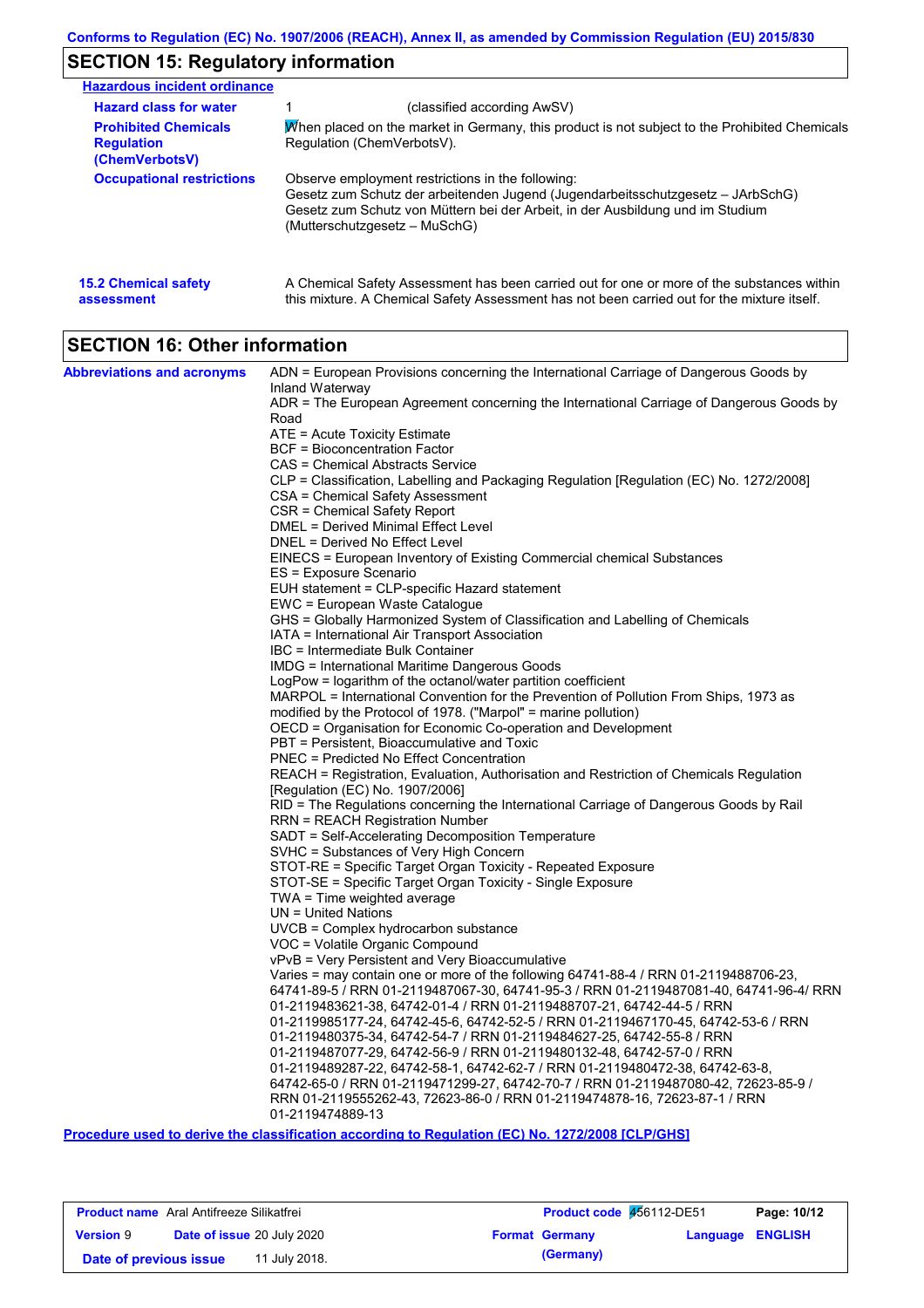# **SECTION 15: Regulatory information**

| <b>Hazardous incident ordinance</b>                                |                                                                                                                                                                                                                                                         |
|--------------------------------------------------------------------|---------------------------------------------------------------------------------------------------------------------------------------------------------------------------------------------------------------------------------------------------------|
| <b>Hazard class for water</b>                                      | (classified according AwSV)                                                                                                                                                                                                                             |
| <b>Prohibited Chemicals</b><br><b>Regulation</b><br>(ChemVerbotsV) | When placed on the market in Germany, this product is not subject to the Prohibited Chemicals<br>Regulation (ChemVerbotsV).                                                                                                                             |
| <b>Occupational restrictions</b>                                   | Observe employment restrictions in the following:<br>Gesetz zum Schutz der arbeitenden Jugend (Jugendarbeitsschutzgesetz – JArbSchG)<br>Gesetz zum Schutz von Müttern bei der Arbeit, in der Ausbildung und im Studium<br>(Mutterschutzgesetz – MuSchG) |
| <b>15.2 Chemical safety</b><br>assessment                          | A Chemical Safety Assessment has been carried out for one or more of the substances within<br>this mixture. A Chemical Safety Assessment has not been carried out for the mixture itself.                                                               |

# **SECTION 16: Other information**

| <b>Abbreviations and acronyms</b> | ADN = European Provisions concerning the International Carriage of Dangerous Goods by                                                                 |
|-----------------------------------|-------------------------------------------------------------------------------------------------------------------------------------------------------|
|                                   | Inland Waterway                                                                                                                                       |
|                                   | ADR = The European Agreement concerning the International Carriage of Dangerous Goods by                                                              |
|                                   | Road                                                                                                                                                  |
|                                   | ATE = Acute Toxicity Estimate<br><b>BCF</b> = Bioconcentration Factor                                                                                 |
|                                   | CAS = Chemical Abstracts Service                                                                                                                      |
|                                   | CLP = Classification, Labelling and Packaging Regulation [Regulation (EC) No. 1272/2008]                                                              |
|                                   | CSA = Chemical Safety Assessment                                                                                                                      |
|                                   | CSR = Chemical Safety Report                                                                                                                          |
|                                   | DMEL = Derived Minimal Effect Level                                                                                                                   |
|                                   | DNEL = Derived No Effect Level                                                                                                                        |
|                                   | EINECS = European Inventory of Existing Commercial chemical Substances                                                                                |
|                                   | ES = Exposure Scenario                                                                                                                                |
|                                   | EUH statement = CLP-specific Hazard statement                                                                                                         |
|                                   | EWC = European Waste Catalogue                                                                                                                        |
|                                   | GHS = Globally Harmonized System of Classification and Labelling of Chemicals                                                                         |
|                                   | IATA = International Air Transport Association                                                                                                        |
|                                   | IBC = Intermediate Bulk Container                                                                                                                     |
|                                   | IMDG = International Maritime Dangerous Goods                                                                                                         |
|                                   | LogPow = logarithm of the octanol/water partition coefficient                                                                                         |
|                                   | MARPOL = International Convention for the Prevention of Pollution From Ships, 1973 as                                                                 |
|                                   | modified by the Protocol of 1978. ("Marpol" = marine pollution)                                                                                       |
|                                   | OECD = Organisation for Economic Co-operation and Development                                                                                         |
|                                   | PBT = Persistent, Bioaccumulative and Toxic                                                                                                           |
|                                   | <b>PNEC = Predicted No Effect Concentration</b>                                                                                                       |
|                                   | REACH = Registration, Evaluation, Authorisation and Restriction of Chemicals Regulation<br>[Regulation (EC) No. 1907/2006]                            |
|                                   | RID = The Regulations concerning the International Carriage of Dangerous Goods by Rail                                                                |
|                                   | RRN = REACH Registration Number                                                                                                                       |
|                                   | SADT = Self-Accelerating Decomposition Temperature                                                                                                    |
|                                   | SVHC = Substances of Very High Concern                                                                                                                |
|                                   | STOT-RE = Specific Target Organ Toxicity - Repeated Exposure                                                                                          |
|                                   | STOT-SE = Specific Target Organ Toxicity - Single Exposure                                                                                            |
|                                   | TWA = Time weighted average                                                                                                                           |
|                                   | $UN = United Nations$                                                                                                                                 |
|                                   | $UVCB = Complex\;hydrocarbon\; substance$                                                                                                             |
|                                   | VOC = Volatile Organic Compound                                                                                                                       |
|                                   | vPvB = Very Persistent and Very Bioaccumulative                                                                                                       |
|                                   | Varies = may contain one or more of the following 64741-88-4 / RRN 01-2119488706-23,                                                                  |
|                                   | 64741-89-5 / RRN 01-2119487067-30, 64741-95-3 / RRN 01-2119487081-40, 64741-96-4/ RRN                                                                 |
|                                   | 01-2119483621-38, 64742-01-4 / RRN 01-2119488707-21, 64742-44-5 / RRN                                                                                 |
|                                   | 01-2119985177-24, 64742-45-6, 64742-52-5 / RRN 01-2119467170-45, 64742-53-6 / RRN                                                                     |
|                                   | 01-2119480375-34, 64742-54-7 / RRN 01-2119484627-25, 64742-55-8 / RRN                                                                                 |
|                                   | 01-2119487077-29, 64742-56-9 / RRN 01-2119480132-48, 64742-57-0 / RRN<br>01-2119489287-22, 64742-58-1, 64742-62-7 / RRN 01-2119480472-38, 64742-63-8, |
|                                   | 64742-65-0 / RRN 01-2119471299-27, 64742-70-7 / RRN 01-2119487080-42, 72623-85-9 /                                                                    |
|                                   | RRN 01-2119555262-43, 72623-86-0 / RRN 01-2119474878-16, 72623-87-1 / RRN                                                                             |
|                                   | 01-2119474889-13                                                                                                                                      |
|                                   | $\sim$ 1.000 $\sim$ $\sim$ 4.000 $\sim$ $\sim$ $\sim$ $\sim$ $\sim$<br>$1.11 \times 1.5$ B $1.11 \times 1.1$ (FA) M $1.1070/00000$ FAI B/AI1A1        |

**Procedure used to derive the classification according to Regulation (EC) No. 1272/2008 [CLP/GHS]**

| <b>Product name</b> Aral Antifreeze Silikatfrei |  |                                   | Product code 456112-DE51 | Page: 10/12           |                         |  |
|-------------------------------------------------|--|-----------------------------------|--------------------------|-----------------------|-------------------------|--|
| <b>Version 9</b>                                |  | <b>Date of issue 20 July 2020</b> |                          | <b>Format Germany</b> | <b>Language ENGLISH</b> |  |
| Date of previous issue                          |  | 11 July 2018.                     |                          | (Germany)             |                         |  |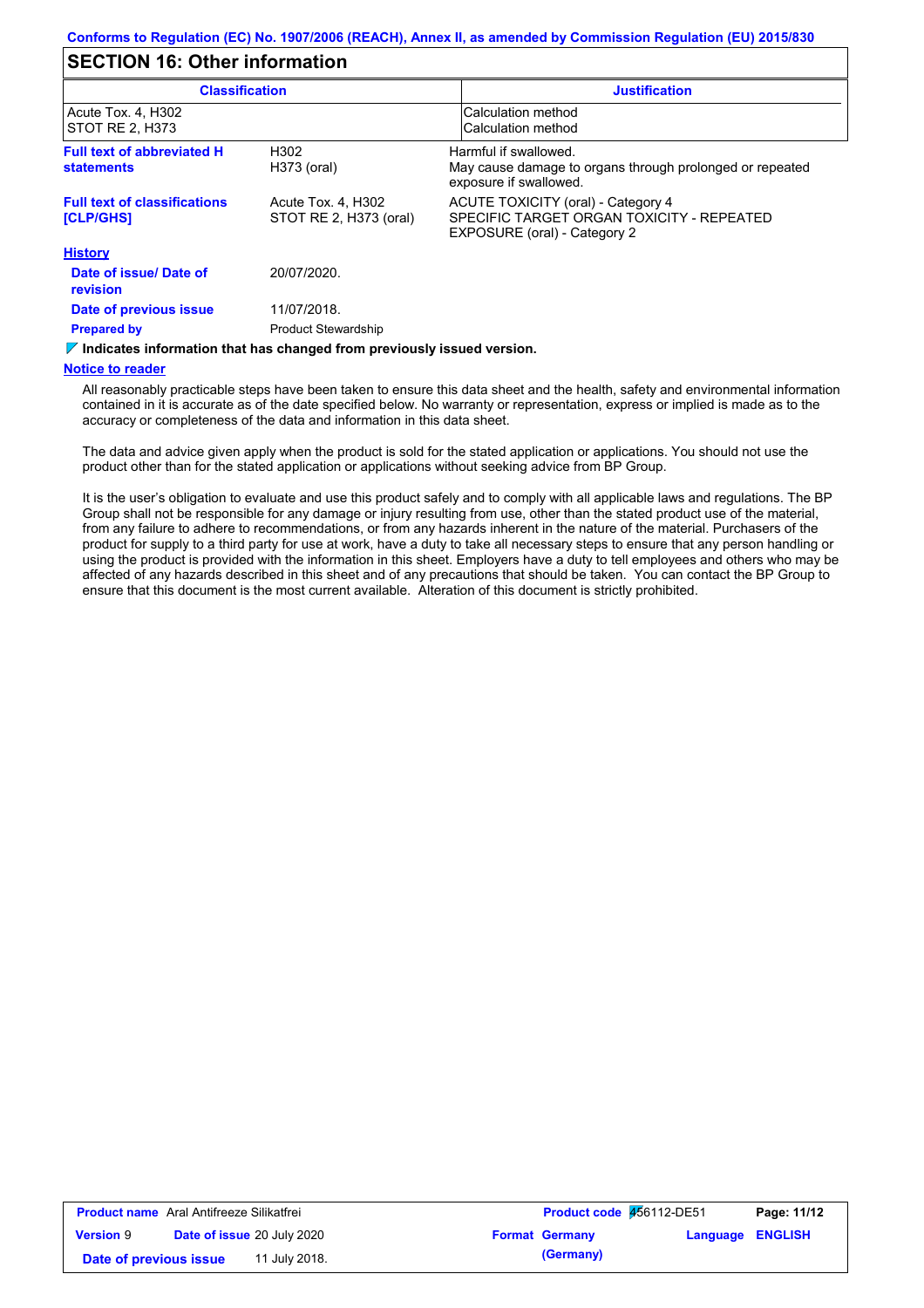### **SECTION 16: Other information**

| <b>Classification</b>                                   |                                              | <b>Justification</b>                                                                                            |
|---------------------------------------------------------|----------------------------------------------|-----------------------------------------------------------------------------------------------------------------|
| Acute Tox. 4, H302<br> STOT RE 2, H373                  |                                              | Calculation method<br>Calculation method                                                                        |
| <b>Full text of abbreviated H</b><br><b>statements</b>  | H302<br>H373 (oral)                          | Harmful if swallowed.<br>May cause damage to organs through prolonged or repeated<br>exposure if swallowed.     |
| <b>Full text of classifications</b><br><b>[CLP/GHS]</b> | Acute Tox. 4, H302<br>STOT RE 2, H373 (oral) | ACUTE TOXICITY (oral) - Category 4<br>SPECIFIC TARGET ORGAN TOXICITY - REPEATED<br>EXPOSURE (oral) - Category 2 |
| <b>History</b>                                          |                                              |                                                                                                                 |
| Date of issue/Date of<br>revision                       | 20/07/2020.                                  |                                                                                                                 |
| Date of previous issue                                  | 11/07/2018.                                  |                                                                                                                 |
| <b>Prepared by</b>                                      | <b>Product Stewardship</b>                   |                                                                                                                 |

#### $\triangledown$  **Indicates information that has changed from previously issued version.**

#### **Notice to reader**

All reasonably practicable steps have been taken to ensure this data sheet and the health, safety and environmental information contained in it is accurate as of the date specified below. No warranty or representation, express or implied is made as to the accuracy or completeness of the data and information in this data sheet.

The data and advice given apply when the product is sold for the stated application or applications. You should not use the product other than for the stated application or applications without seeking advice from BP Group.

It is the user's obligation to evaluate and use this product safely and to comply with all applicable laws and regulations. The BP Group shall not be responsible for any damage or injury resulting from use, other than the stated product use of the material, from any failure to adhere to recommendations, or from any hazards inherent in the nature of the material. Purchasers of the product for supply to a third party for use at work, have a duty to take all necessary steps to ensure that any person handling or using the product is provided with the information in this sheet. Employers have a duty to tell employees and others who may be affected of any hazards described in this sheet and of any precautions that should be taken. You can contact the BP Group to ensure that this document is the most current available. Alteration of this document is strictly prohibited.

| <b>Product name</b> Aral Antifreeze Silikatfrei |                                   | <b>Product code 456112-DE51</b> |                       | Page: 11/12             |  |  |
|-------------------------------------------------|-----------------------------------|---------------------------------|-----------------------|-------------------------|--|--|
| <b>Version 9</b>                                | <b>Date of issue 20 July 2020</b> |                                 | <b>Format Germany</b> | <b>Language ENGLISH</b> |  |  |
| Date of previous issue                          |                                   | 11 July 2018.                   |                       | (Germany)               |  |  |